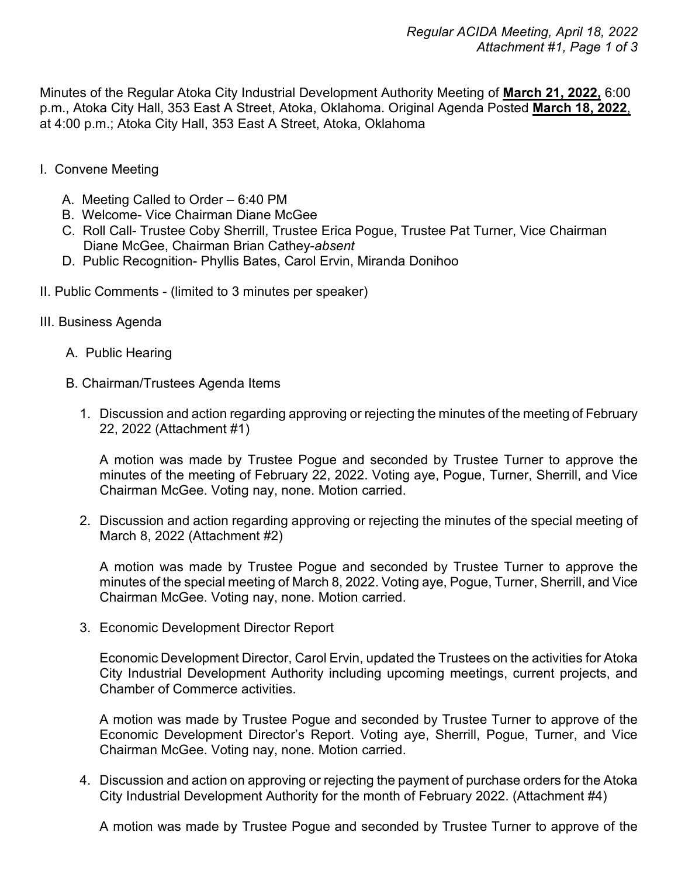Minutes of the Regular Atoka City Industrial Development Authority Meeting of **March 21, 2022,** 6:00 p.m., Atoka City Hall, 353 East A Street, Atoka, Oklahoma. Original Agenda Posted **March 18, 2022**, at 4:00 p.m.; Atoka City Hall, 353 East A Street, Atoka, Oklahoma

- I. Convene Meeting
	- A. Meeting Called to Order 6:40 PM
	- B. Welcome- Vice Chairman Diane McGee
	- C. Roll Call- Trustee Coby Sherrill, Trustee Erica Pogue, Trustee Pat Turner, Vice Chairman Diane McGee, Chairman Brian Cathey-*absent*
	- D. Public Recognition- Phyllis Bates, Carol Ervin, Miranda Donihoo
- II. Public Comments (limited to 3 minutes per speaker)
- III. Business Agenda
	- A. Public Hearing
	- B. Chairman/Trustees Agenda Items
		- 1. Discussion and action regarding approving or rejecting the minutes of the meeting of February 22, 2022 (Attachment #1)

A motion was made by Trustee Pogue and seconded by Trustee Turner to approve the minutes of the meeting of February 22, 2022. Voting aye, Pogue, Turner, Sherrill, and Vice Chairman McGee. Voting nay, none. Motion carried.

2. Discussion and action regarding approving or rejecting the minutes of the special meeting of March 8, 2022 (Attachment #2)

A motion was made by Trustee Pogue and seconded by Trustee Turner to approve the minutes of the special meeting of March 8, 2022. Voting aye, Pogue, Turner, Sherrill, and Vice Chairman McGee. Voting nay, none. Motion carried.

3. Economic Development Director Report

Economic Development Director, Carol Ervin, updated the Trustees on the activities for Atoka City Industrial Development Authority including upcoming meetings, current projects, and Chamber of Commerce activities.

A motion was made by Trustee Pogue and seconded by Trustee Turner to approve of the Economic Development Director's Report. Voting aye, Sherrill, Pogue, Turner, and Vice Chairman McGee. Voting nay, none. Motion carried.

4. Discussion and action on approving or rejecting the payment of purchase orders for the Atoka City Industrial Development Authority for the month of February 2022. (Attachment #4)

A motion was made by Trustee Pogue and seconded by Trustee Turner to approve of the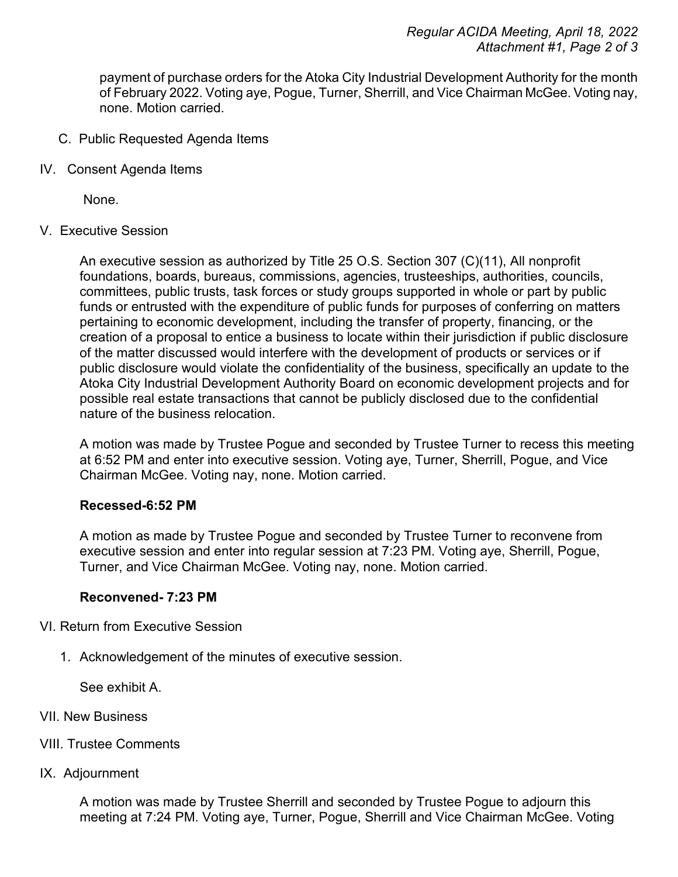payment of purchase orders for the Atoka City Industrial Development Authority for the month of February 2022. Voting aye, Pogue, Turner, Sherrill, and Vice Chairman McGee. Voting nay, none. Motion carried.

- C. Public Requested Agenda Items
- IV. Consent Agenda Items

None.

V. Executive Session

An executive session as authorized by Title 25 O.S. Section 307 (C)(11), All nonprofit foundations, boards, bureaus, commissions, agencies, trusteeships, authorities, councils, committees, public trusts, task forces or study groups supported in whole or part by public funds or entrusted with the expenditure of public funds for purposes of conferring on matters pertaining to economic development, including the transfer of property, financing, or the creation of a proposal to entice a business to locate within their jurisdiction if public disclosure of the matter discussed would interfere with the development of products or services or if public disclosure would violate the confidentiality of the business, specifically an update to the Atoka City Industrial Development Authority Board on economic development projects and for possible real estate transactions that cannot be publicly disclosed due to the confidential nature of the business relocation.

A motion was made by Trustee Pogue and seconded by Trustee Turner to recess this meeting at 6:52 PM and enter into executive session. Voting aye, Turner, Sherrill, Pogue, and Vice Chairman McGee. Voting nay, none. Motion carried.

## **Recessed-6:52 PM**

A motion as made by Trustee Pogue and seconded by Trustee Turner to reconvene from executive session and enter into regular session at 7:23 PM. Voting aye, Sherrill, Pogue, Turner, and Vice Chairman McGee. Voting nay, none. Motion carried.

## **Reconvened- 7:23 PM**

- VI. Return from Executive Session
	- 1. Acknowledgement of the minutes of executive session.

See exhibit A.

- VII. New Business
- VIII. Trustee Comments
- IX. Adjournment

A motion was made by Trustee Sherrill and seconded by Trustee Pogue to adjourn this meeting at 7:24 PM. Voting aye, Turner, Pogue, Sherrill and Vice Chairman McGee. Voting